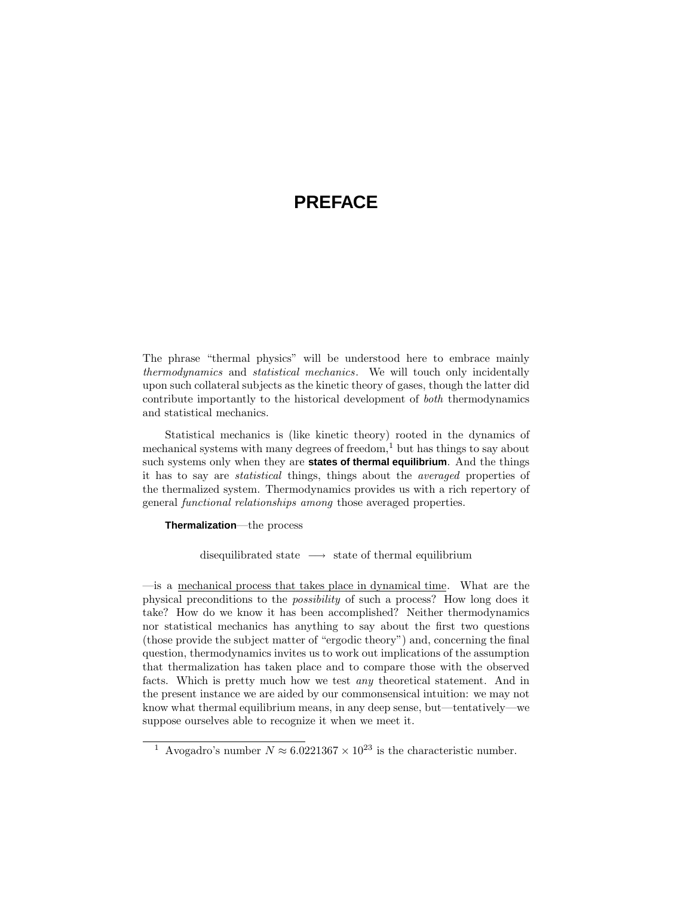## **PREFACE**

The phrase "thermal physics" will be understood here to embrace mainly thermodynamics and statistical mechanics. We will touch only incidentally upon such collateral subjects as the kinetic theory of gases, though the latter did contribute importantly to the historical development of both thermodynamics and statistical mechanics.

Statistical mechanics is (like kinetic theory) rooted in the dynamics of mechanical systems with many degrees of freedom, $\frac{1}{1}$  but has things to say about such systems only when they are **states of thermal equilibrium**. And the things it has to say are statistical things, things about the averaged properties of the thermalized system. Thermodynamics provides us with a rich repertory of general functional relationships among those averaged properties.

**Thermalization**—the process

disequilibrated state  $\longrightarrow$  state of thermal equilibrium

—is a mechanical process that takes place in dynamical time. What are the physical preconditions to the possibility of such a process? How long does it take? How do we know it has been accomplished? Neither thermodynamics nor statistical mechanics has anything to say about the first two questions (those provide the subject matter of "ergodic theory") and, concerning the final question, thermodynamics invites us to work out implications of the assumption that thermalization has taken place and to compare those with the observed facts. Which is pretty much how we test any theoretical statement. And in the present instance we are aided by our commonsensical intuition: we may not know what thermal equilibrium means, in any deep sense, but—tentatively—we suppose ourselves able to recognize it when we meet it.

<sup>&</sup>lt;sup>1</sup> Avogadro's number  $N \approx 6.0221367 \times 10^{23}$  is the characteristic number.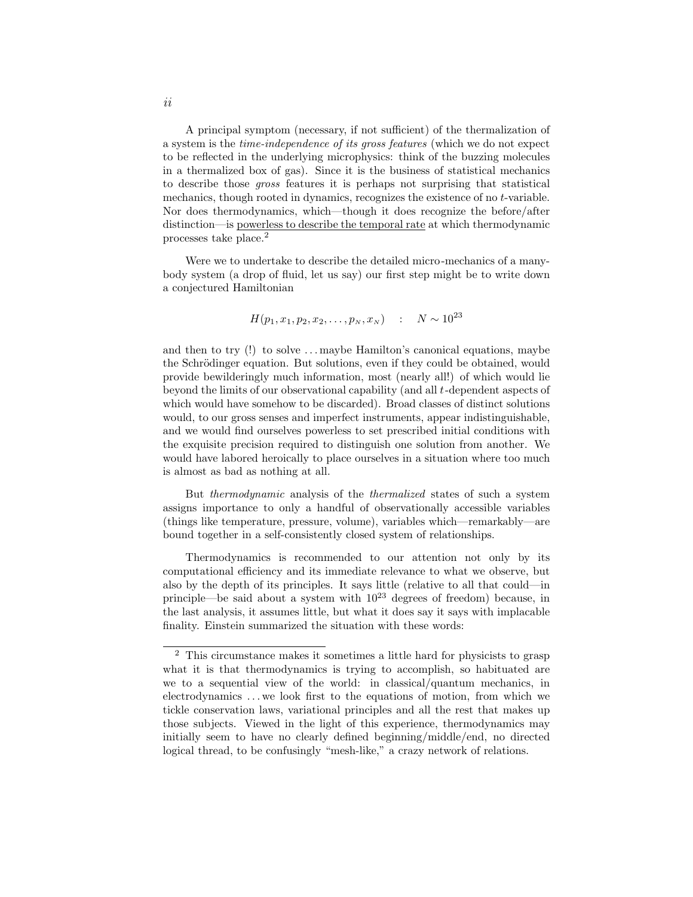A principal symptom (necessary, if not sufficient) of the thermalization of a system is the time-independence of its gross features (which we do not expect to be reflected in the underlying microphysics: think of the buzzing molecules in a thermalized box of gas). Since it is the business of statistical mechanics to describe those gross features it is perhaps not surprising that statistical mechanics, though rooted in dynamics, recognizes the existence of no *t*-variable. Nor does thermodynamics, which—though it does recognize the before/after distinction—is powerless to describe the temporal rate at which thermodynamic processes take place.<sup>2</sup>

Were we to undertake to describe the detailed micro-mechanics of a manybody system (a drop of fluid, let us say) our first step might be to write down a conjectured Hamiltonian

$$
H(p_1, x_1, p_2, x_2, \dots, p_N, x_N) \quad : \quad N \sim 10^{23}
$$

and then to try (!) to solve *...* maybe Hamilton's canonical equations, maybe the Schrödinger equation. But solutions, even if they could be obtained, would provide bewilderingly much information, most (nearly all!) of which would lie beyond the limits of our observational capability (and all *t*-dependent aspects of which would have somehow to be discarded). Broad classes of distinct solutions would, to our gross senses and imperfect instruments, appear indistinguishable, and we would find ourselves powerless to set prescribed initial conditions with the exquisite precision required to distinguish one solution from another. We would have labored heroically to place ourselves in a situation where too much is almost as bad as nothing at all.

But thermodynamic analysis of the thermalized states of such a system assigns importance to only a handful of observationally accessible variables (things like temperature, pressure, volume), variables which—remarkably—are bound together in a self-consistently closed system of relationships.

Thermodynamics is recommended to our attention not only by its computational efficiency and its immediate relevance to what we observe, but also by the depth of its principles. It says little (relative to all that could—in principle—be said about a system with  $10^{23}$  degrees of freedom) because, in the last analysis, it assumes little, but what it does say it says with implacable finality. Einstein summarized the situation with these words:

<sup>2</sup> This circumstance makes it sometimes a little hard for physicists to grasp what it is that thermodynamics is trying to accomplish, so habituated are we to a sequential view of the world: in classical/quantum mechanics, in electrodynamics *...* we look first to the equations of motion, from which we tickle conservation laws, variational principles and all the rest that makes up those subjects. Viewed in the light of this experience, thermodynamics may initially seem to have no clearly defined beginning/middle/end, no directed logical thread, to be confusingly "mesh-like," a crazy network of relations.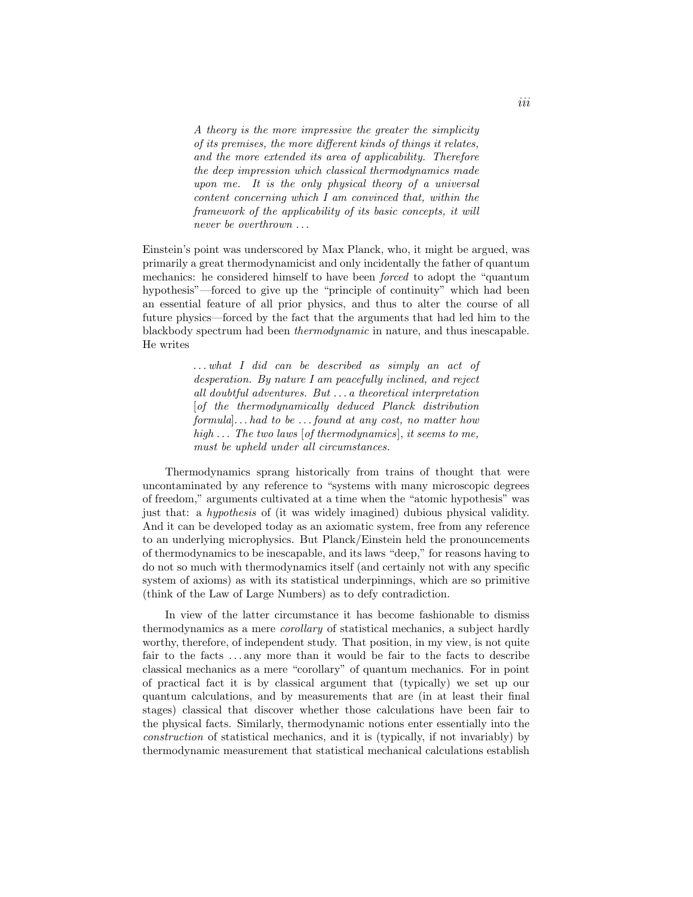A theory is the more impressive the greater the simplicity of its premises, the more different kinds of things it relates, and the more extended its area of applicability. Therefore the deep impression which classical thermodynamics made upon me. It is the only physical theory of a universal content concerning which Iam convinced that, within the framework of the applicability of its basic concepts, it will never be overthrown *...*

Einstein's point was underscored by Max Planck, who, it might be argued, was primarily a great thermodynamicist and only incidentally the father of quantum mechanics: he considered himself to have been *forced* to adopt the "quantum hypothesis"—forced to give up the "principle of continuity" which had been an essential feature of all prior physics, and thus to alter the course of all future physics—forced by the fact that the arguments that had led him to the blackbody spectrum had been thermodynamic in nature, and thus inescapable. He writes

> ... what I did can be described as simply an act of desperation. By nature I am peacefully inclined, and reject all doubtful adventures. But *...* a theoretical interpretation [of the thermodynamically deduced Planck distribution formula]*...* had to be *...* found at any cost, no matter how high  $\ldots$  The two laws [of thermodynamics], it seems to me, must be upheld under all circumstances.

Thermodynamics sprang historically from trains of thought that were uncontaminated by any reference to "systems with many microscopic degrees of freedom," arguments cultivated at a time when the "atomic hypothesis" was just that: a hypothesis of (it was widely imagined) dubious physical validity. And it can be developed today as an axiomatic system, free from any reference to an underlying microphysics. But Planck/Einstein held the pronouncements of thermodynamics to be inescapable, and its laws "deep," for reasons having to do not so much with thermodynamics itself (and certainly not with any specific system of axioms) as with its statistical underpinnings, which are so primitive (think of the Law of Large Numbers) as to defy contradiction.

In view of the latter circumstance it has become fashionable to dismiss thermodynamics as a mere corollary of statistical mechanics, a subject hardly worthy, therefore, of independent study. That position, in my view, is not quite fair to the facts *...* any more than it would be fair to the facts to describe classical mechanics as a mere "corollary" of quantum mechanics. For in point of practical fact it is by classical argument that (typically) we set up our quantum calculations, and by measurements that are (in at least their final stages) classical that discover whether those calculations have been fair to the physical facts. Similarly, thermodynamic notions enter essentially into the construction of statistical mechanics, and it is (typically, if not invariably) by thermodynamic measurement that statistical mechanical calculations establish